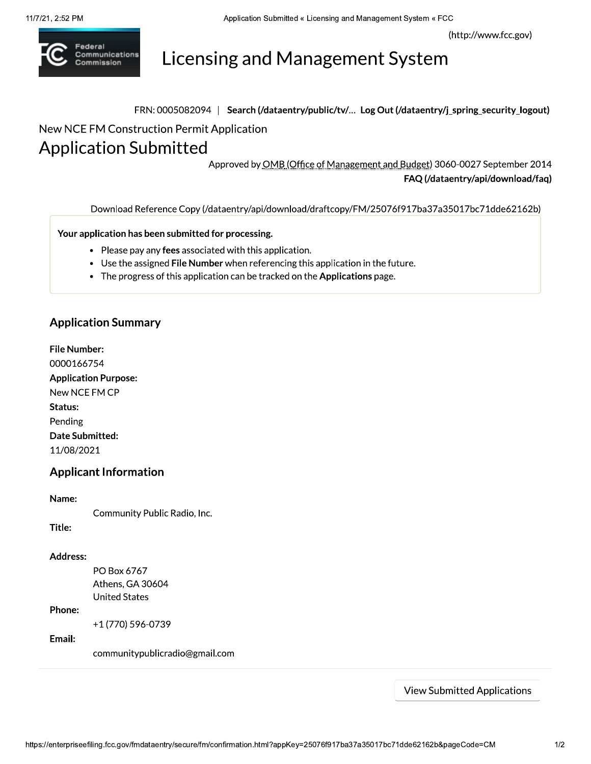(http://www.fcc.gov)



Licensing and Management System

FRN: 0005082094 | Search (/dataentry/public/tv/... Log Out (/dataentry/j\_spring\_security\_logout)

New NCE FM Construction Permit Application

# Application Submitted

Approved by OMB (Office of Management and Budget) 3060-0027 September 2014 FAQ (/dataentry/api/download/faq)

Download Reference Copy (/dataentry/api/download/draftcopy/FM/25076f917ba37a35017bc71dde62162b)

Your application has been submitted for processing.

- Please pay any fees associated with this application.
- Use the assigned File Number when referencing this application in the future.
- The progress of this application can be tracked on the Applications page.

#### **Application Summary**

File Number: 0000166754 Application Purpose: New NCE FM CP Status: Pending Date Submitted: 11/08/2021

#### Applicant Information

#### Name:

Community Public Radio, Inc.

Title:

#### Address:

PO Box 6767 Athens, GA 30604 **United States** 

#### Phone:

+1 (770) 596-0739

#### Email:

communitypublicradio@gmail.com

View Submitted Applications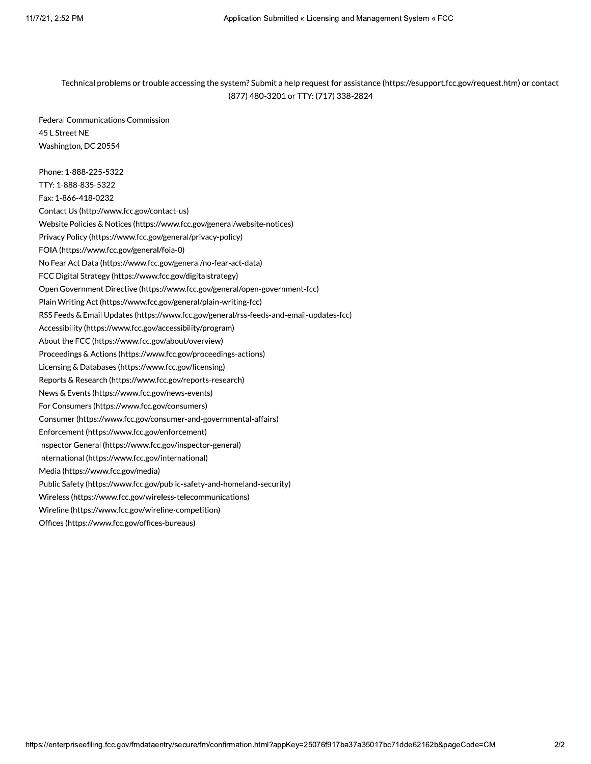Technical problems or trouble accessing the system? Submit a help request for assistance (https://esupport.fcc.gov/request.htm) or contact (877) 480-3201 or TTY: (717) 338-2824

Federal Communications Commission 45 L Street NE Washington, DC 20554

Phone: 1-888-225-5322 TTY: 1-888-835-5322 Fax: 1-866-418-0232 Contact Us (http://www.fcc.gov/contact-us) Website Policies & Notices (https://www.fcc.gov/general/website-notices) Privacy Policy (https://www.fcc.gov/general/privacy-policy) FOIA (https://www.fcc.gov/general/foia-0) No Fear Act Data (https://www.fcc.gov/general/no-fear-act-data) FCC Digital Strategy (https://www.fcc.gov/digitalstrategy) Open Government Directive (https://www.fcc.gov/general/open-government-fcc) Plain Writing Act (https://www.fcc.gov/general/plain-writing-fcc) RSS Feeds & Email Updates (https://www.fcc.gov/general/rss-feeds-and-email-updates-fcc) Accessibility (https://www.fcc.gov/accessibility/program) About the FCC (https://www.fcc.gov/about/overview) Proceedings & Actions (https://www.fcc.gov/proceedings-actions) Licensing & Databases (https://www.fcc.gov/licensing) Reports & Research (https://www.fcc.gov/reports-research) News & Events (https://www.fcc.gov/news-events) For Consumers (https://www.fcc.gov/consumers) Consumer (https://www.fcc.gov/consumer-and-governmental-affairs) Enforcement (https://www.fcc.gov/enforcement) Inspector General (https://www.fcc.gov/inspector-general) International (https://www.fcc.gov/international) Media (https://www.fcc.gov/media) Public Safety (https://www.fcc.gov/public-safety-and-homeland-security) Wireless (https://www.fcc.gov/wireless-telecommunications) Wireline (https://www.fcc.gov/wireline-competition) Offices (https://www.fcc.gov/offices-bureaus)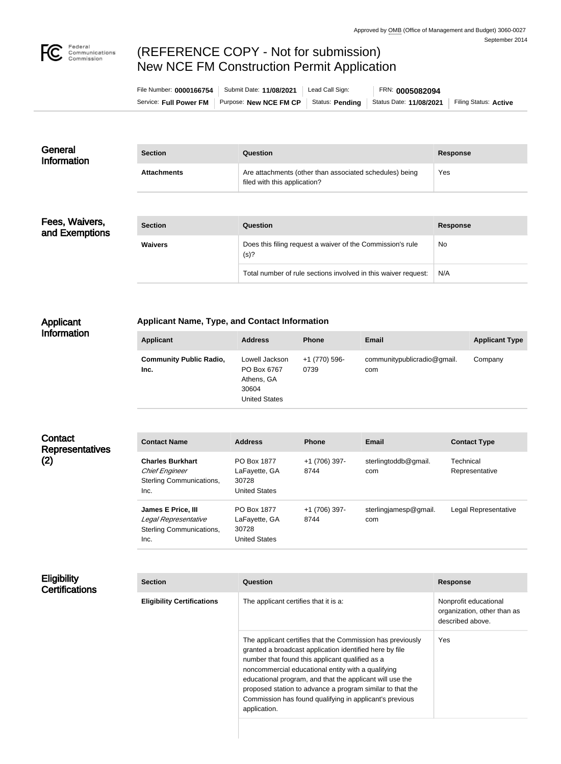

# (REFERENCE COPY - Not for submission) New NCE FM Construction Permit Application

| File Number: 0000166754 | Submit Date: 11/08/2021 | Lead Call Sign: | FRN: 0005082094         |                       |
|-------------------------|-------------------------|-----------------|-------------------------|-----------------------|
| Service: Full Power FM  | Purpose: New NCE FM CP  | Status: Pending | Status Date: 11/08/2021 | Filing Status: Active |

| General<br>Information | <b>Section</b>     | Question                                                                                | Response |
|------------------------|--------------------|-----------------------------------------------------------------------------------------|----------|
|                        | <b>Attachments</b> | Are attachments (other than associated schedules) being<br>filed with this application? | Yes      |

Fees, Waivers, and Exemptions

| <b>Section</b> | Question                                                           | Response |
|----------------|--------------------------------------------------------------------|----------|
| <b>Waivers</b> | Does this filing request a waiver of the Commission's rule<br>(s)? | No       |
|                | Total number of rule sections involved in this waiver request:     | N/A      |

## Applicant Information

### **Applicant Name, Type, and Contact Information**

| <b>Applicant</b>                       | <b>Address</b>                                                               | <b>Phone</b>          | <b>Email</b>                       | <b>Applicant Type</b> |
|----------------------------------------|------------------------------------------------------------------------------|-----------------------|------------------------------------|-----------------------|
| <b>Community Public Radio,</b><br>Inc. | Lowell Jackson<br>PO Box 6767<br>Athens, GA<br>30604<br><b>United States</b> | +1 (770) 596-<br>0739 | communitypublicradio@gmail.<br>com | Company               |

| Contact<br><b>Representatives</b><br>(2) | <b>Contact Name</b>                                                                  | <b>Address</b>                                                | <b>Phone</b>          | <b>Email</b>                 | <b>Contact Type</b>         |
|------------------------------------------|--------------------------------------------------------------------------------------|---------------------------------------------------------------|-----------------------|------------------------------|-----------------------------|
|                                          | <b>Charles Burkhart</b><br><b>Chief Engineer</b><br>Sterling Communications,<br>Inc. | PO Box 1877<br>LaFayette, GA<br>30728<br><b>United States</b> | +1 (706) 397-<br>8744 | sterlingtoddb@gmail.<br>com  | Technical<br>Representative |
|                                          | James E Price, III<br>Legal Representative<br>Sterling Communications,<br>Inc.       | PO Box 1877<br>LaFayette, GA<br>30728<br><b>United States</b> | +1 (706) 397-<br>8744 | sterlingjamesp@gmail.<br>com | Legal Representative        |

### **Eligibility Certifications**

| <b>Section</b>                    | Question                                                                                                                                                                                                                                                                                                                                                                                                                           | <b>Response</b>                                                          |
|-----------------------------------|------------------------------------------------------------------------------------------------------------------------------------------------------------------------------------------------------------------------------------------------------------------------------------------------------------------------------------------------------------------------------------------------------------------------------------|--------------------------------------------------------------------------|
| <b>Eligibility Certifications</b> | The applicant certifies that it is a:                                                                                                                                                                                                                                                                                                                                                                                              | Nonprofit educational<br>organization, other than as<br>described above. |
|                                   | The applicant certifies that the Commission has previously<br>granted a broadcast application identified here by file<br>number that found this applicant qualified as a<br>noncommercial educational entity with a qualifying<br>educational program, and that the applicant will use the<br>proposed station to advance a program similar to that the<br>Commission has found qualifying in applicant's previous<br>application. | Yes                                                                      |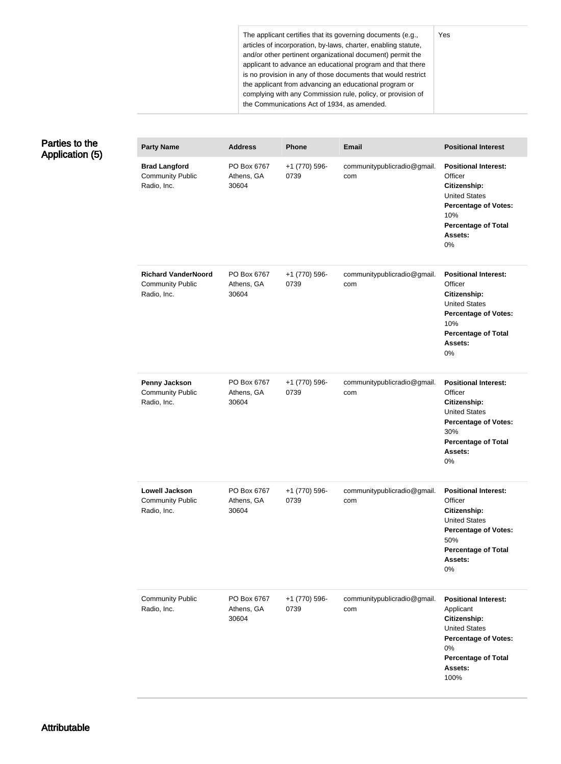The applicant certifies that its governing documents (e.g., articles of incorporation, by-laws, charter, enabling statute, and/or other pertinent organizational document) permit the applicant to advance an educational program and that there is no provision in any of those documents that would restrict the applicant from advancing an educational program or complying with any Commission rule, policy, or provision of the Communications Act of 1934, as amended.

## Parties to the Application (5)

| <b>Party Name</b>                                                    | <b>Address</b>                     | <b>Phone</b>          | <b>Email</b>                       | <b>Positional Interest</b>                                                                                                                                             |
|----------------------------------------------------------------------|------------------------------------|-----------------------|------------------------------------|------------------------------------------------------------------------------------------------------------------------------------------------------------------------|
| <b>Brad Langford</b><br><b>Community Public</b><br>Radio, Inc.       | PO Box 6767<br>Athens, GA<br>30604 | +1 (770) 596-<br>0739 | communitypublicradio@gmail.<br>com | <b>Positional Interest:</b><br>Officer<br>Citizenship:<br><b>United States</b><br><b>Percentage of Votes:</b><br>10%<br><b>Percentage of Total</b><br>Assets:<br>0%    |
| <b>Richard VanderNoord</b><br><b>Community Public</b><br>Radio, Inc. | PO Box 6767<br>Athens, GA<br>30604 | +1 (770) 596-<br>0739 | communitypublicradio@gmail.<br>com | <b>Positional Interest:</b><br>Officer<br>Citizenship:<br><b>United States</b><br><b>Percentage of Votes:</b><br>10%<br><b>Percentage of Total</b><br>Assets:<br>0%    |
| <b>Penny Jackson</b><br><b>Community Public</b><br>Radio, Inc.       | PO Box 6767<br>Athens, GA<br>30604 | +1 (770) 596-<br>0739 | communitypublicradio@gmail.<br>com | <b>Positional Interest:</b><br>Officer<br>Citizenship:<br><b>United States</b><br><b>Percentage of Votes:</b><br>30%<br><b>Percentage of Total</b><br>Assets:<br>$0\%$ |
| Lowell Jackson<br><b>Community Public</b><br>Radio, Inc.             | PO Box 6767<br>Athens, GA<br>30604 | +1 (770) 596-<br>0739 | communitypublicradio@gmail.<br>com | <b>Positional Interest:</b><br>Officer<br>Citizenship:<br><b>United States</b><br><b>Percentage of Votes:</b><br>50%<br><b>Percentage of Total</b><br>Assets:<br>0%    |
| <b>Community Public</b><br>Radio, Inc.                               | PO Box 6767<br>Athens, GA<br>30604 | +1 (770) 596-<br>0739 | communitypublicradio@gmail.<br>com | <b>Positional Interest:</b><br>Applicant<br>Citizenship:<br><b>United States</b><br><b>Percentage of Votes:</b><br>0%<br><b>Percentage of Total</b><br>Assets:<br>100% |

#### Yes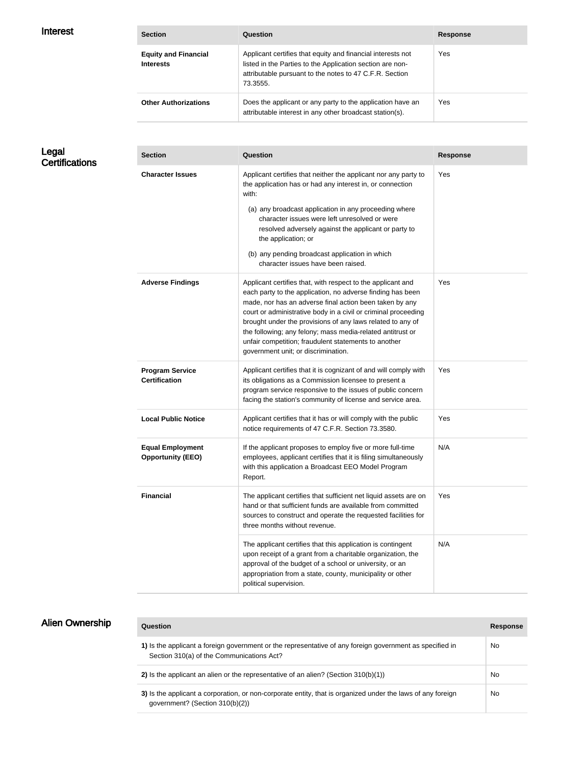| <b>Interest</b> |  |
|-----------------|--|
|-----------------|--|

| <b>Interest</b> | <b>Section</b>                                  | Question                                                                                                                                                                                        | <b>Response</b> |
|-----------------|-------------------------------------------------|-------------------------------------------------------------------------------------------------------------------------------------------------------------------------------------------------|-----------------|
|                 | <b>Equity and Financial</b><br><b>Interests</b> | Applicant certifies that equity and financial interests not<br>listed in the Parties to the Application section are non-<br>attributable pursuant to the notes to 47 C.F.R. Section<br>73.3555. | Yes             |
|                 | <b>Other Authorizations</b>                     | Does the applicant or any party to the application have an<br>attributable interest in any other broadcast station(s).                                                                          | <b>Yes</b>      |

Legal **Certifications** 

| <b>Section</b>                                      | Question                                                                                                                                                                                                                                                                                                                                                                                                                                                                          | <b>Response</b> |
|-----------------------------------------------------|-----------------------------------------------------------------------------------------------------------------------------------------------------------------------------------------------------------------------------------------------------------------------------------------------------------------------------------------------------------------------------------------------------------------------------------------------------------------------------------|-----------------|
| <b>Character Issues</b>                             | Applicant certifies that neither the applicant nor any party to<br>the application has or had any interest in, or connection<br>with:<br>(a) any broadcast application in any proceeding where<br>character issues were left unresolved or were<br>resolved adversely against the applicant or party to<br>the application; or<br>(b) any pending broadcast application in which<br>character issues have been raised.                                                            | Yes             |
| <b>Adverse Findings</b>                             | Applicant certifies that, with respect to the applicant and<br>each party to the application, no adverse finding has been<br>made, nor has an adverse final action been taken by any<br>court or administrative body in a civil or criminal proceeding<br>brought under the provisions of any laws related to any of<br>the following; any felony; mass media-related antitrust or<br>unfair competition; fraudulent statements to another<br>government unit; or discrimination. | Yes             |
| <b>Program Service</b><br><b>Certification</b>      | Applicant certifies that it is cognizant of and will comply with<br>its obligations as a Commission licensee to present a<br>program service responsive to the issues of public concern<br>facing the station's community of license and service area.                                                                                                                                                                                                                            | Yes             |
| <b>Local Public Notice</b>                          | Applicant certifies that it has or will comply with the public<br>notice requirements of 47 C.F.R. Section 73.3580.                                                                                                                                                                                                                                                                                                                                                               | Yes             |
| <b>Equal Employment</b><br><b>Opportunity (EEO)</b> | If the applicant proposes to employ five or more full-time<br>employees, applicant certifies that it is filing simultaneously<br>with this application a Broadcast EEO Model Program<br>Report.                                                                                                                                                                                                                                                                                   | N/A             |
| <b>Financial</b>                                    | The applicant certifies that sufficient net liquid assets are on<br>hand or that sufficient funds are available from committed<br>sources to construct and operate the requested facilities for<br>three months without revenue.                                                                                                                                                                                                                                                  | Yes             |
|                                                     | The applicant certifies that this application is contingent<br>upon receipt of a grant from a charitable organization, the<br>approval of the budget of a school or university, or an<br>appropriation from a state, county, municipality or other<br>political supervision.                                                                                                                                                                                                      | N/A             |

| <b>Alien Ownership</b> | Question                                                                                                                                              | <b>Response</b> |
|------------------------|-------------------------------------------------------------------------------------------------------------------------------------------------------|-----------------|
|                        | 1) Is the applicant a foreign government or the representative of any foreign government as specified in<br>Section 310(a) of the Communications Act? | No              |
|                        | 2) Is the applicant an alien or the representative of an alien? (Section $310(b)(1)$ )                                                                | No              |
|                        | 3) Is the applicant a corporation, or non-corporate entity, that is organized under the laws of any foreign<br>government? (Section 310(b)(2))        | No              |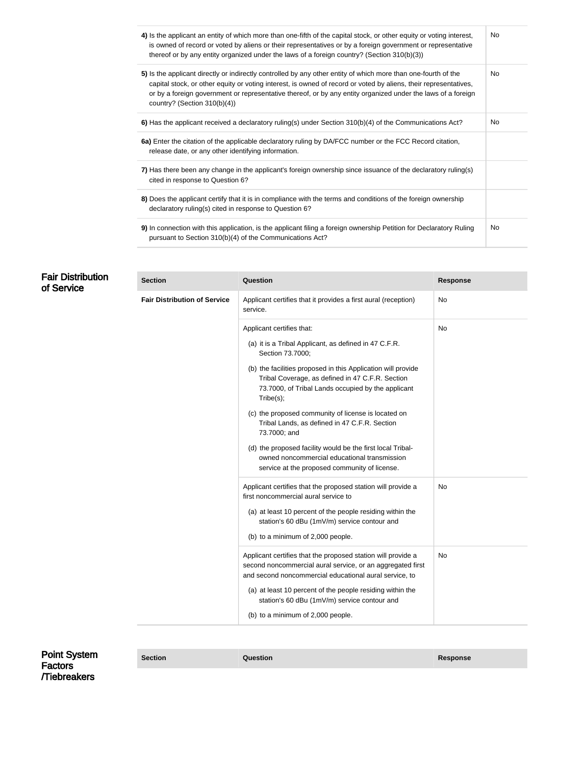| 4) Is the applicant an entity of which more than one-fifth of the capital stock, or other equity or voting interest,<br>is owned of record or voted by aliens or their representatives or by a foreign government or representative<br>thereof or by any entity organized under the laws of a foreign country? (Section 310(b)(3))                                                    | No  |
|---------------------------------------------------------------------------------------------------------------------------------------------------------------------------------------------------------------------------------------------------------------------------------------------------------------------------------------------------------------------------------------|-----|
| 5) Is the applicant directly or indirectly controlled by any other entity of which more than one-fourth of the<br>capital stock, or other equity or voting interest, is owned of record or voted by aliens, their representatives,<br>or by a foreign government or representative thereof, or by any entity organized under the laws of a foreign<br>country? (Section $310(b)(4)$ ) | No. |
| 6) Has the applicant received a declaratory ruling(s) under Section 310(b)(4) of the Communications Act?                                                                                                                                                                                                                                                                              | No  |
| 6a) Enter the citation of the applicable declaratory ruling by DA/FCC number or the FCC Record citation,<br>release date, or any other identifying information.                                                                                                                                                                                                                       |     |
| 7) Has there been any change in the applicant's foreign ownership since issuance of the declaratory ruling(s)<br>cited in response to Question 6?                                                                                                                                                                                                                                     |     |
| 8) Does the applicant certify that it is in compliance with the terms and conditions of the foreign ownership<br>declaratory ruling(s) cited in response to Question 6?                                                                                                                                                                                                               |     |
| 9) In connection with this application, is the applicant filing a foreign ownership Petition for Declaratory Ruling<br>pursuant to Section 310(b)(4) of the Communications Act?                                                                                                                                                                                                       | No  |

| <b>Fair Distribution</b><br>of Service | <b>Section</b>                      | Question                                                                                                                                                                             | <b>Response</b> |
|----------------------------------------|-------------------------------------|--------------------------------------------------------------------------------------------------------------------------------------------------------------------------------------|-----------------|
|                                        | <b>Fair Distribution of Service</b> | Applicant certifies that it provides a first aural (reception)<br>service.                                                                                                           | No              |
|                                        |                                     | Applicant certifies that:                                                                                                                                                            | No              |
|                                        |                                     | (a) it is a Tribal Applicant, as defined in 47 C.F.R.<br>Section 73.7000;                                                                                                            |                 |
|                                        |                                     | (b) the facilities proposed in this Application will provide<br>Tribal Coverage, as defined in 47 C.F.R. Section<br>73.7000, of Tribal Lands occupied by the applicant<br>Tribe(s);  |                 |
|                                        |                                     | (c) the proposed community of license is located on<br>Tribal Lands, as defined in 47 C.F.R. Section<br>73.7000; and                                                                 |                 |
|                                        |                                     | (d) the proposed facility would be the first local Tribal-<br>owned noncommercial educational transmission<br>service at the proposed community of license.                          |                 |
|                                        |                                     | Applicant certifies that the proposed station will provide a<br>first noncommercial aural service to                                                                                 | No.             |
|                                        |                                     | (a) at least 10 percent of the people residing within the<br>station's 60 dBu (1mV/m) service contour and                                                                            |                 |
|                                        |                                     | (b) to a minimum of 2,000 people.                                                                                                                                                    |                 |
|                                        |                                     | Applicant certifies that the proposed station will provide a<br>second noncommercial aural service, or an aggregated first<br>and second noncommercial educational aural service, to | No              |
|                                        |                                     | (a) at least 10 percent of the people residing within the<br>station's 60 dBu (1mV/m) service contour and                                                                            |                 |
|                                        |                                     | (b) to a minimum of 2,000 people.                                                                                                                                                    |                 |
|                                        |                                     |                                                                                                                                                                                      |                 |

Point System Factors /Tiebreakers

**Section Question Response**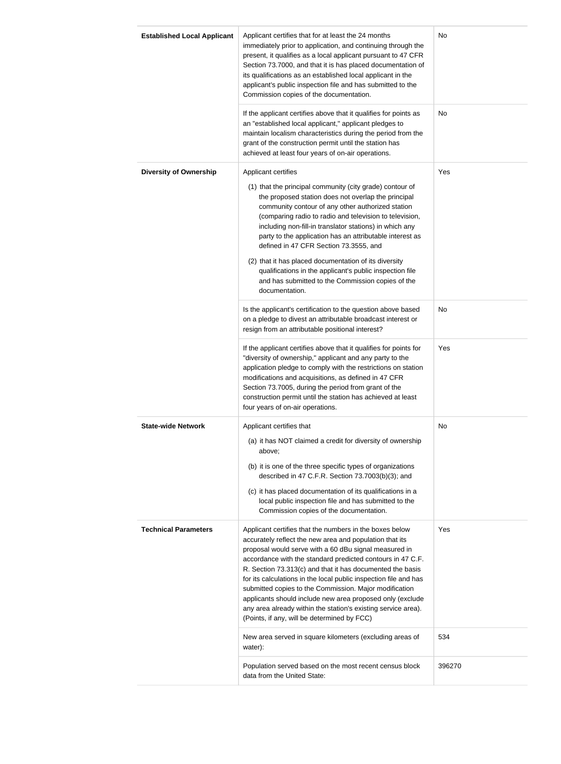| <b>Established Local Applicant</b> | Applicant certifies that for at least the 24 months<br>immediately prior to application, and continuing through the<br>present, it qualifies as a local applicant pursuant to 47 CFR<br>Section 73.7000, and that it is has placed documentation of<br>its qualifications as an established local applicant in the<br>applicant's public inspection file and has submitted to the<br>Commission copies of the documentation.                                                                                                                                                                                        | No     |
|------------------------------------|---------------------------------------------------------------------------------------------------------------------------------------------------------------------------------------------------------------------------------------------------------------------------------------------------------------------------------------------------------------------------------------------------------------------------------------------------------------------------------------------------------------------------------------------------------------------------------------------------------------------|--------|
|                                    | If the applicant certifies above that it qualifies for points as<br>an "established local applicant," applicant pledges to<br>maintain localism characteristics during the period from the<br>grant of the construction permit until the station has<br>achieved at least four years of on-air operations.                                                                                                                                                                                                                                                                                                          | No     |
| <b>Diversity of Ownership</b>      | Applicant certifies<br>(1) that the principal community (city grade) contour of<br>the proposed station does not overlap the principal<br>community contour of any other authorized station<br>(comparing radio to radio and television to television,<br>including non-fill-in translator stations) in which any<br>party to the application has an attributable interest as<br>defined in 47 CFR Section 73.3555, and<br>(2) that it has placed documentation of its diversity<br>qualifications in the applicant's public inspection file<br>and has submitted to the Commission copies of the<br>documentation. | Yes    |
|                                    | Is the applicant's certification to the question above based<br>on a pledge to divest an attributable broadcast interest or<br>resign from an attributable positional interest?                                                                                                                                                                                                                                                                                                                                                                                                                                     | No     |
|                                    | If the applicant certifies above that it qualifies for points for<br>"diversity of ownership," applicant and any party to the<br>application pledge to comply with the restrictions on station<br>modifications and acquisitions, as defined in 47 CFR<br>Section 73.7005, during the period from grant of the<br>construction permit until the station has achieved at least<br>four years of on-air operations.                                                                                                                                                                                                   | Yes    |
| <b>State-wide Network</b>          | Applicant certifies that<br>(a) it has NOT claimed a credit for diversity of ownership<br>above;<br>(b) it is one of the three specific types of organizations<br>described in 47 C.F.R. Section 73.7003(b)(3); and<br>(c) it has placed documentation of its qualifications in a<br>local public inspection file and has submitted to the<br>Commission copies of the documentation.                                                                                                                                                                                                                               | No     |
| <b>Technical Parameters</b>        | Applicant certifies that the numbers in the boxes below<br>accurately reflect the new area and population that its<br>proposal would serve with a 60 dBu signal measured in<br>accordance with the standard predicted contours in 47 C.F.<br>R. Section 73.313(c) and that it has documented the basis<br>for its calculations in the local public inspection file and has<br>submitted copies to the Commission. Major modification<br>applicants should include new area proposed only (exclude<br>any area already within the station's existing service area).<br>(Points, if any, will be determined by FCC)   | Yes    |
|                                    | New area served in square kilometers (excluding areas of<br>water):                                                                                                                                                                                                                                                                                                                                                                                                                                                                                                                                                 | 534    |
|                                    | Population served based on the most recent census block<br>data from the United State:                                                                                                                                                                                                                                                                                                                                                                                                                                                                                                                              | 396270 |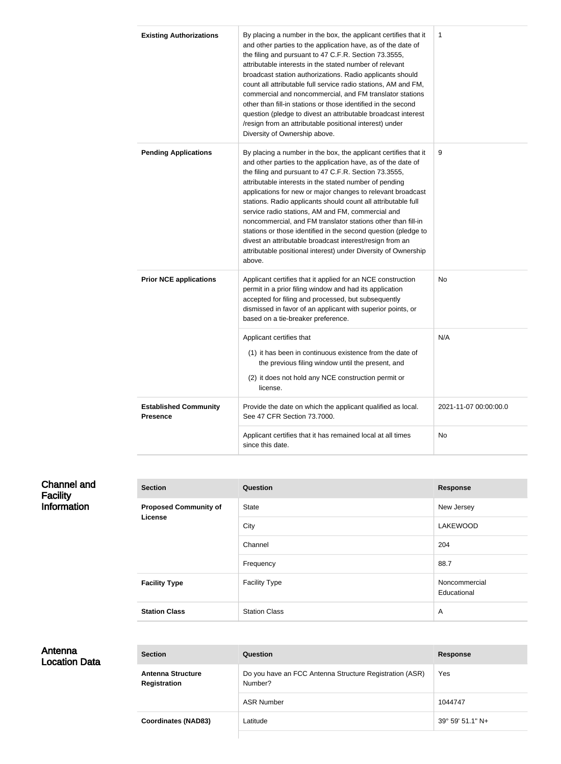| <b>Existing Authorizations</b>                  | By placing a number in the box, the applicant certifies that it<br>and other parties to the application have, as of the date of<br>the filing and pursuant to 47 C.F.R. Section 73.3555,<br>attributable interests in the stated number of relevant<br>broadcast station authorizations. Radio applicants should<br>count all attributable full service radio stations, AM and FM,<br>commercial and noncommercial, and FM translator stations<br>other than fill-in stations or those identified in the second<br>question (pledge to divest an attributable broadcast interest<br>/resign from an attributable positional interest) under<br>Diversity of Ownership above.                                      | 1                     |
|-------------------------------------------------|-------------------------------------------------------------------------------------------------------------------------------------------------------------------------------------------------------------------------------------------------------------------------------------------------------------------------------------------------------------------------------------------------------------------------------------------------------------------------------------------------------------------------------------------------------------------------------------------------------------------------------------------------------------------------------------------------------------------|-----------------------|
| <b>Pending Applications</b>                     | By placing a number in the box, the applicant certifies that it<br>and other parties to the application have, as of the date of<br>the filing and pursuant to 47 C.F.R. Section 73.3555,<br>attributable interests in the stated number of pending<br>applications for new or major changes to relevant broadcast<br>stations. Radio applicants should count all attributable full<br>service radio stations, AM and FM, commercial and<br>noncommercial, and FM translator stations other than fill-in<br>stations or those identified in the second question (pledge to<br>divest an attributable broadcast interest/resign from an<br>attributable positional interest) under Diversity of Ownership<br>above. | 9                     |
| <b>Prior NCE applications</b>                   | Applicant certifies that it applied for an NCE construction<br>permit in a prior filing window and had its application<br>accepted for filing and processed, but subsequently<br>dismissed in favor of an applicant with superior points, or<br>based on a tie-breaker preference.                                                                                                                                                                                                                                                                                                                                                                                                                                | No                    |
|                                                 | Applicant certifies that<br>(1) it has been in continuous existence from the date of<br>the previous filing window until the present, and<br>(2) it does not hold any NCE construction permit or<br>license.                                                                                                                                                                                                                                                                                                                                                                                                                                                                                                      | N/A                   |
| <b>Established Community</b><br><b>Presence</b> | Provide the date on which the applicant qualified as local.<br>See 47 CFR Section 73.7000.                                                                                                                                                                                                                                                                                                                                                                                                                                                                                                                                                                                                                        | 2021-11-07 00:00:00.0 |
|                                                 | Applicant certifies that it has remained local at all times<br>since this date.                                                                                                                                                                                                                                                                                                                                                                                                                                                                                                                                                                                                                                   | No                    |

| <b>Channel and</b><br><b>Facility</b> | <b>Section</b>                          | Question             | <b>Response</b>              |
|---------------------------------------|-----------------------------------------|----------------------|------------------------------|
| <b>Information</b>                    | <b>Proposed Community of</b><br>License | State                | New Jersey                   |
|                                       |                                         | City                 | <b>LAKEWOOD</b>              |
|                                       |                                         | Channel              | 204                          |
|                                       |                                         | Frequency            | 88.7                         |
|                                       | <b>Facility Type</b>                    | <b>Facility Type</b> | Noncommercial<br>Educational |
|                                       | <b>Station Class</b>                    | <b>Station Class</b> | A                            |

| <b>Section</b>                                  | <b>Question</b>                                                    | <b>Response</b>           |
|-------------------------------------------------|--------------------------------------------------------------------|---------------------------|
| <b>Antenna Structure</b><br><b>Registration</b> | Do you have an FCC Antenna Structure Registration (ASR)<br>Number? | Yes                       |
|                                                 | <b>ASR Number</b>                                                  | 1044747                   |
| <b>Coordinates (NAD83)</b>                      | Latitude                                                           | $39^{\circ}$ 59' 51.1" N+ |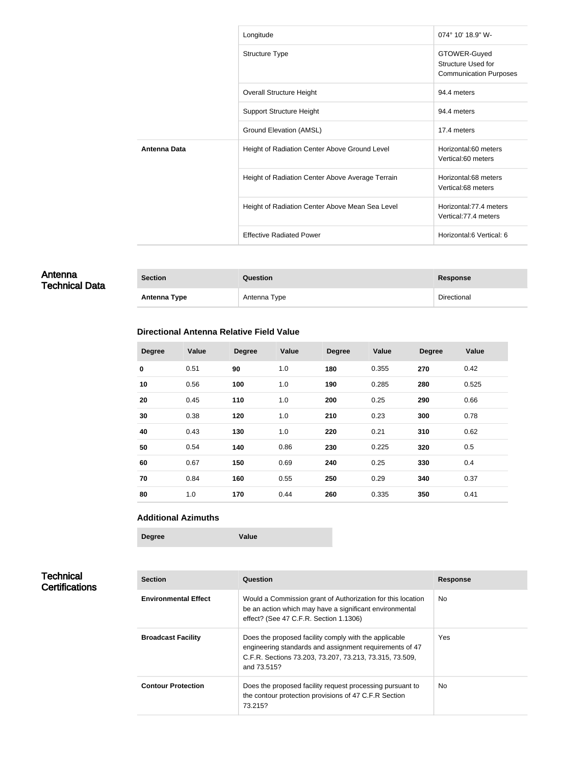|                     | Longitude                                        | $074^{\circ}$ 10' 18.9" W-                                                 |
|---------------------|--------------------------------------------------|----------------------------------------------------------------------------|
|                     | <b>Structure Type</b>                            | GTOWER-Guyed<br><b>Structure Used for</b><br><b>Communication Purposes</b> |
|                     | <b>Overall Structure Height</b>                  | 94.4 meters                                                                |
|                     | <b>Support Structure Height</b>                  | 94.4 meters                                                                |
|                     | Ground Elevation (AMSL)                          | 17.4 meters                                                                |
| <b>Antenna Data</b> | Height of Radiation Center Above Ground Level    | Horizontal:60 meters<br>Vertical:60 meters                                 |
|                     | Height of Radiation Center Above Average Terrain | Horizontal:68 meters<br>Vertical:68 meters                                 |
|                     | Height of Radiation Center Above Mean Sea Level  | Horizontal: 77.4 meters<br>Vertical: 77.4 meters                           |
|                     | <b>Effective Radiated Power</b>                  | Horizontal:6 Vertical: 6                                                   |

| Antenna<br><b>Technical Data</b> | <b>Section</b>      | Question     | <b>Response</b> |
|----------------------------------|---------------------|--------------|-----------------|
|                                  | <b>Antenna Type</b> | Antenna Type | Directional     |

### **Directional Antenna Relative Field Value**

| <b>Degree</b> | <b>Value</b> | <b>Degree</b> | Value | <b>Degree</b> | Value | <b>Degree</b> | <b>Value</b> |
|---------------|--------------|---------------|-------|---------------|-------|---------------|--------------|
| $\bf{0}$      | 0.51         | 90            | 1.0   | 180           | 0.355 | 270           | 0.42         |
| 10            | 0.56         | 100           | 1.0   | 190           | 0.285 | 280           | 0.525        |
| 20            | 0.45         | 110           | 1.0   | 200           | 0.25  | 290           | 0.66         |
| 30            | 0.38         | 120           | 1.0   | 210           | 0.23  | 300           | 0.78         |
| 40            | 0.43         | 130           | 1.0   | 220           | 0.21  | 310           | 0.62         |
| 50            | 0.54         | 140           | 0.86  | 230           | 0.225 | 320           | 0.5          |
| 60            | 0.67         | 150           | 0.69  | 240           | 0.25  | 330           | 0.4          |
| 70            | 0.84         | 160           | 0.55  | 250           | 0.29  | 340           | 0.37         |
| 80            | 1.0          | 170           | 0.44  | 260           | 0.335 | 350           | 0.41         |

#### **Additional Azimuths**

| Degree | Value |
|--------|-------|
|        |       |

## **Technical Certifications**

| <b>Section</b>              | Question                                                                                                                                                                                   | <b>Response</b> |
|-----------------------------|--------------------------------------------------------------------------------------------------------------------------------------------------------------------------------------------|-----------------|
| <b>Environmental Effect</b> | Would a Commission grant of Authorization for this location<br>be an action which may have a significant environmental<br>effect? (See 47 C.F.R. Section 1.1306)                           | <b>No</b>       |
| <b>Broadcast Facility</b>   | Does the proposed facility comply with the applicable<br>engineering standards and assignment requirements of 47<br>C.F.R. Sections 73.203, 73.207, 73.213, 73.315, 73.509,<br>and 73.515? | Yes             |
| <b>Contour Protection</b>   | Does the proposed facility request processing pursuant to<br>the contour protection provisions of 47 C.F.R Section<br>73.215?                                                              | No.             |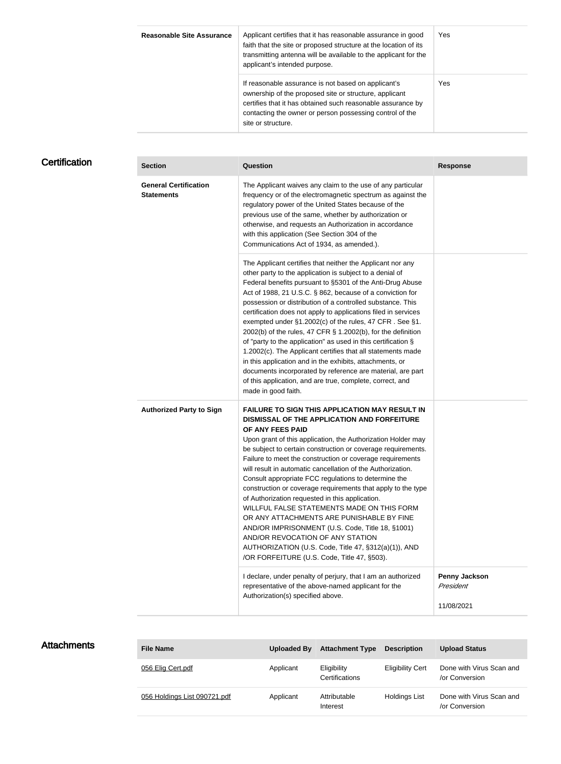| <b>Reasonable Site Assurance</b> | Applicant certifies that it has reasonable assurance in good<br>faith that the site or proposed structure at the location of its<br>transmitting antenna will be available to the applicant for the<br>applicant's intended purpose.                           | Yes |
|----------------------------------|----------------------------------------------------------------------------------------------------------------------------------------------------------------------------------------------------------------------------------------------------------------|-----|
|                                  | If reasonable assurance is not based on applicant's<br>ownership of the proposed site or structure, applicant<br>certifies that it has obtained such reasonable assurance by<br>contacting the owner or person possessing control of the<br>site or structure. | Yes |

# **Certification**

| <b>Section</b>                                    | Question                                                                                                                                                                                                                                                                                                                                                                                                                                                                                                                                                                                                                                                                                                                                                                                                                                                  | <b>Response</b>                                 |
|---------------------------------------------------|-----------------------------------------------------------------------------------------------------------------------------------------------------------------------------------------------------------------------------------------------------------------------------------------------------------------------------------------------------------------------------------------------------------------------------------------------------------------------------------------------------------------------------------------------------------------------------------------------------------------------------------------------------------------------------------------------------------------------------------------------------------------------------------------------------------------------------------------------------------|-------------------------------------------------|
| <b>General Certification</b><br><b>Statements</b> | The Applicant waives any claim to the use of any particular<br>frequency or of the electromagnetic spectrum as against the<br>regulatory power of the United States because of the<br>previous use of the same, whether by authorization or<br>otherwise, and requests an Authorization in accordance<br>with this application (See Section 304 of the<br>Communications Act of 1934, as amended.).                                                                                                                                                                                                                                                                                                                                                                                                                                                       |                                                 |
|                                                   | The Applicant certifies that neither the Applicant nor any<br>other party to the application is subject to a denial of<br>Federal benefits pursuant to §5301 of the Anti-Drug Abuse<br>Act of 1988, 21 U.S.C. § 862, because of a conviction for<br>possession or distribution of a controlled substance. This<br>certification does not apply to applications filed in services<br>exempted under §1.2002(c) of the rules, 47 CFR. See §1.<br>2002(b) of the rules, 47 CFR § 1.2002(b), for the definition<br>of "party to the application" as used in this certification §<br>1.2002(c). The Applicant certifies that all statements made<br>in this application and in the exhibits, attachments, or<br>documents incorporated by reference are material, are part<br>of this application, and are true, complete, correct, and<br>made in good faith. |                                                 |
| <b>Authorized Party to Sign</b>                   | <b>FAILURE TO SIGN THIS APPLICATION MAY RESULT IN</b><br>DISMISSAL OF THE APPLICATION AND FORFEITURE<br>OF ANY FEES PAID<br>Upon grant of this application, the Authorization Holder may<br>be subject to certain construction or coverage requirements.<br>Failure to meet the construction or coverage requirements<br>will result in automatic cancellation of the Authorization.<br>Consult appropriate FCC regulations to determine the<br>construction or coverage requirements that apply to the type<br>of Authorization requested in this application.<br>WILLFUL FALSE STATEMENTS MADE ON THIS FORM<br>OR ANY ATTACHMENTS ARE PUNISHABLE BY FINE<br>AND/OR IMPRISONMENT (U.S. Code, Title 18, §1001)<br>AND/OR REVOCATION OF ANY STATION<br>AUTHORIZATION (U.S. Code, Title 47, §312(a)(1)), AND<br>/OR FORFEITURE (U.S. Code, Title 47, §503). |                                                 |
|                                                   | I declare, under penalty of perjury, that I am an authorized<br>representative of the above-named applicant for the<br>Authorization(s) specified above.                                                                                                                                                                                                                                                                                                                                                                                                                                                                                                                                                                                                                                                                                                  | <b>Penny Jackson</b><br>President<br>11/08/2021 |

| <b>Attachments</b> | <b>File Name</b>             | Uploaded By | <b>Attachment Type</b>        | <b>Description</b>      | <b>Upload Status</b>                       |
|--------------------|------------------------------|-------------|-------------------------------|-------------------------|--------------------------------------------|
|                    | 056 Elig Cert.pdf            | Applicant   | Eligibility<br>Certifications | <b>Eligibility Cert</b> | Done with Virus Scan and<br>/or Conversion |
|                    | 056 Holdings List 090721.pdf | Applicant   | Attributable<br>Interest      | <b>Holdings List</b>    | Done with Virus Scan and<br>/or Conversion |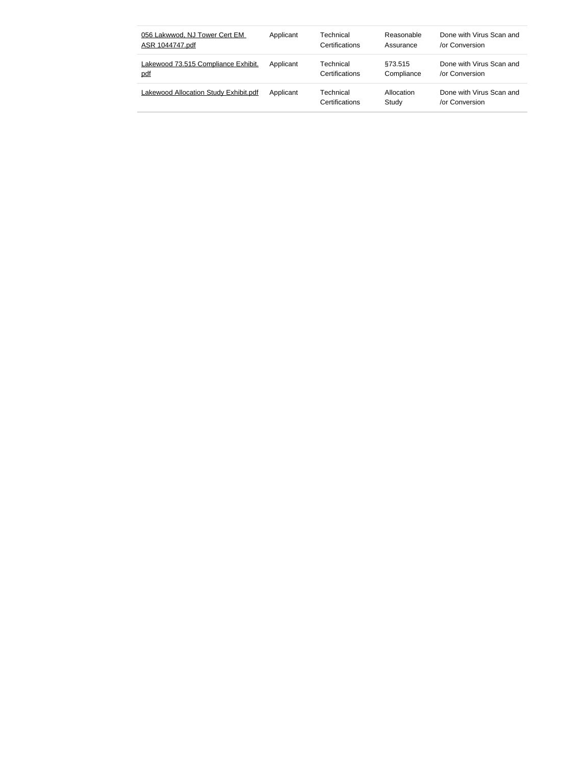| 056 Lakwwod, NJ Tower Cert EM                | Applicant | Technical                          | Reasonable          | Done with Virus Scan and                   |
|----------------------------------------------|-----------|------------------------------------|---------------------|--------------------------------------------|
| ASR 1044747.pdf                              |           | Certifications                     | Assurance           | or Conversion                              |
| Lakewood 73.515 Compliance Exhibit.          | Applicant | Technical                          | \$73.515            | Done with Virus Scan and                   |
| pdf                                          |           | Certifications                     | Compliance          | or Conversion                              |
| <b>Lakewood Allocation Study Exhibit.pdf</b> | Applicant | Technical<br><b>Certifications</b> | Allocation<br>Study | Done with Virus Scan and<br>/or Conversion |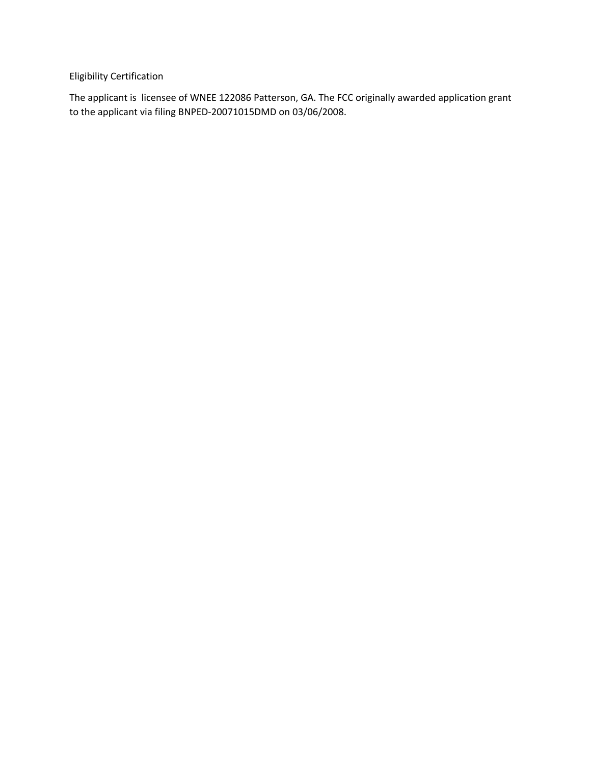Eligibility Certification

The applicant is licensee of WNEE 122086 Patterson, GA. The FCC originally awarded application grant to the applicant via filing BNPED‐20071015DMD on 03/06/2008.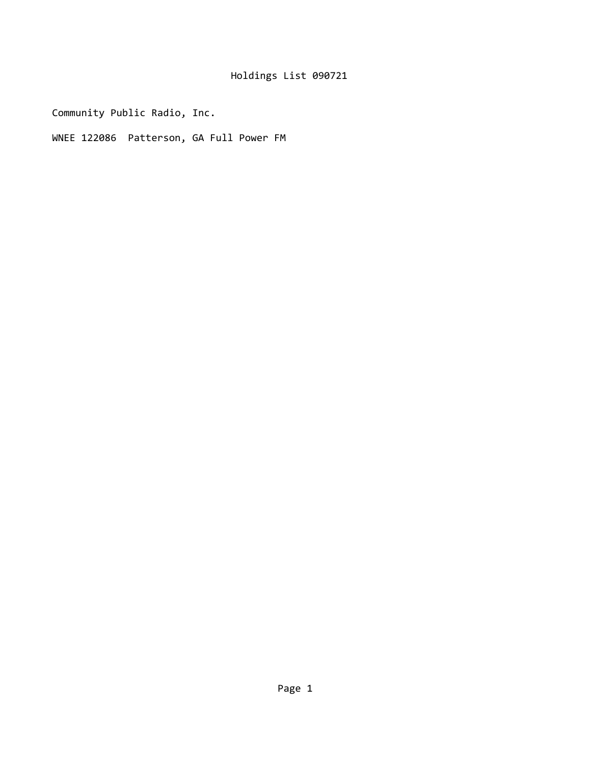Community Public Radio, Inc.

WNEE 122086 Patterson, GA Full Power FM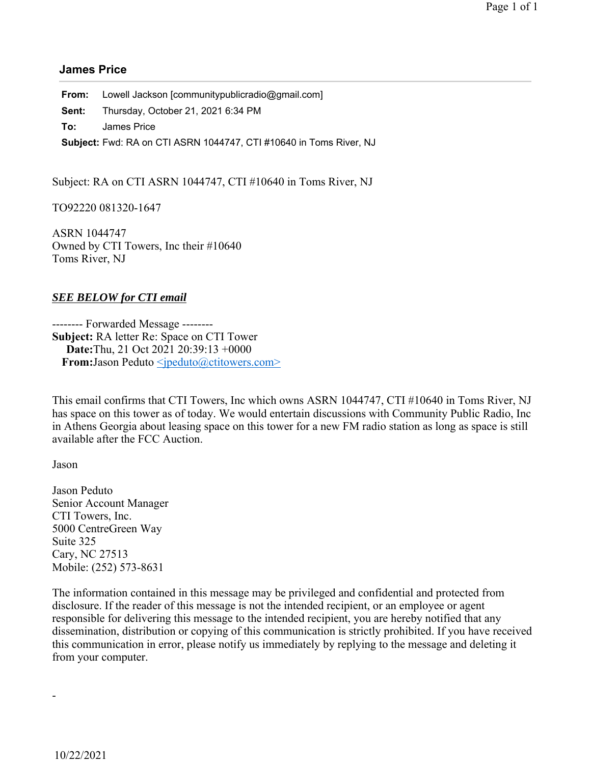#### **James Price**

**From:** Lowell Jackson [communitypublicradio@gmail.com] **Sent:** Thursday, October 21, 2021 6:34 PM **To:** James Price **Subject:** Fwd: RA on CTI ASRN 1044747, CTI #10640 in Toms River, NJ

Subject: RA on CTI ASRN 1044747, CTI #10640 in Toms River, NJ

TO92220 081320-1647

ASRN 1044747 Owned by CTI Towers, Inc their #10640 Toms River, NJ

#### *SEE BELOW for CTI email*

-------- Forwarded Message -------- **Subject:** RA letter Re: Space on CTI Tower **Date:** Thu, 21 Oct 2021 20:39:13 +0000 **From:** Jason Peduto <*ipeduto@ctitowers.com*>

This email confirms that CTI Towers, Inc which owns ASRN 1044747, CTI #10640 in Toms River, NJ has space on this tower as of today. We would entertain discussions with Community Public Radio, Inc in Athens Georgia about leasing space on this tower for a new FM radio station as long as space is still available after the FCC Auction.

Jason

Jason Peduto Senior Account Manager CTI Towers, Inc. 5000 CentreGreen Way Suite 325 Cary, NC 27513 Mobile: (252) 573-8631

The information contained in this message may be privileged and confidential and protected from disclosure. If the reader of this message is not the intended recipient, or an employee or agent responsible for delivering this message to the intended recipient, you are hereby notified that any dissemination, distribution or copying of this communication is strictly prohibited. If you have received this communication in error, please notify us immediately by replying to the message and deleting it from your computer.

-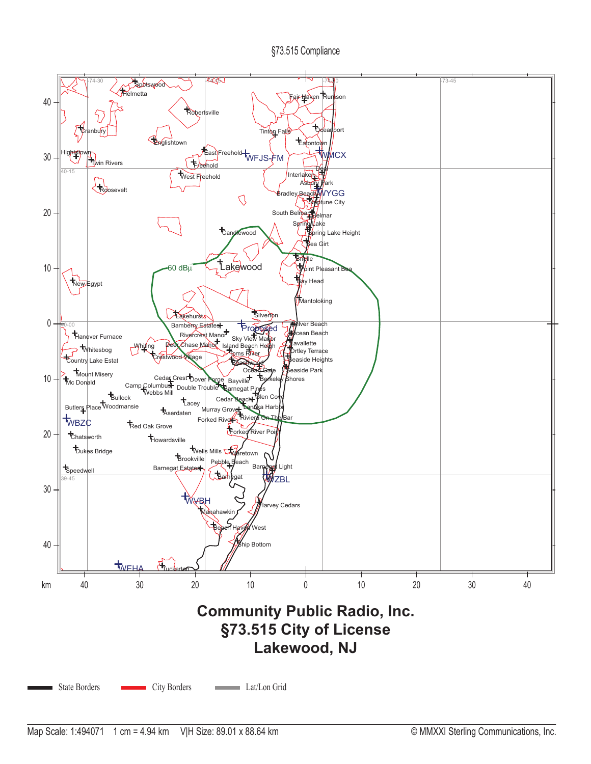#### §73.515 Compliance

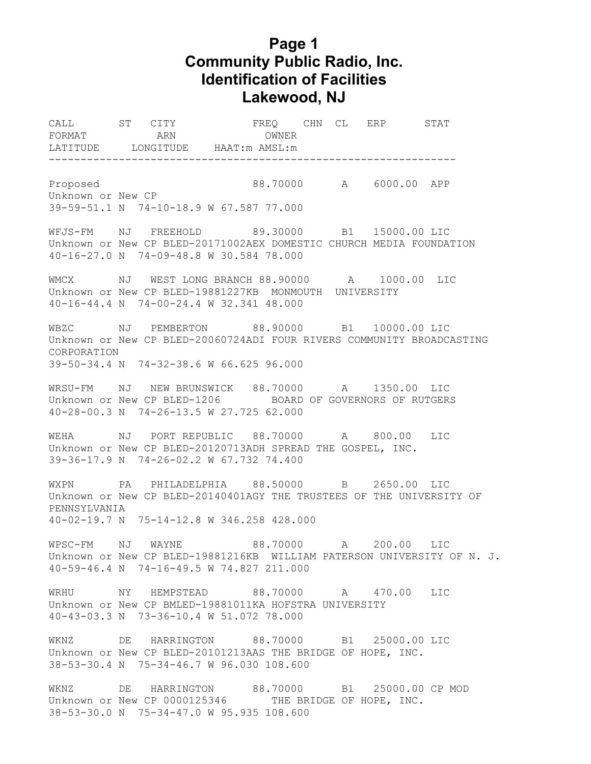# **Page 1 Community Public Radio, Inc. Identification of Facilities Lakewood, NJ**

CALL ST CITY FREQ CHN CL ERP STAT FORMAT ARN ARN OWNER LATITUDE LONGITUDE HAAT:m AMSL:m ---------------------------------------------------------------- Proposed 88.70000 A 6000.00 APP Unknown or New CP 39-59-51.1 N 74-10-18.9 W 67.587 77.000 WFJS-FM NJ FREEHOLD 89.30000 B1 15000.00 LIC Unknown or New CP BLED-20171002AEX DOMESTIC CHURCH MEDIA FOUNDATION 40-16-27.0 N 74-09-48.8 W 30.584 78.000 WMCX NJ WEST LONG BRANCH 88.90000 A 1000.00 LIC Unknown or New CP BLED-19881227KB MONMOUTH UNIVERSITY 40-16-44.4 N 74-00-24.4 W 32.341 48.000 WBZC NJ PEMBERTON 88.90000 B1 10000.00 LIC Unknown or New CP BLED-20060724ADI FOUR RIVERS COMMUNITY BROADCASTING CORPORATION 39-50-34.4 N 74-32-38.6 W 66.625 96.000 WRSU-FM NJ NEW BRUNSWICK 88.70000 A 1350.00 LIC Unknown or New CP BLED-1206 BOARD OF GOVERNORS OF RUTGERS 40-28-00.3 N 74-26-13.5 W 27.725 62.000 WEHA NJ PORT REPUBLIC 88.70000 A 800.00 LIC Unknown or New CP BLED-20120713ADH SPREAD THE GOSPEL, INC. 39-36-17.9 N 74-26-02.2 W 67.732 74.400 WXPN PA PHILADELPHIA 88.50000 B 2650.00 LIC Unknown or New CP BLED-20140401AGY THE TRUSTEES OF THE UNIVERSITY OF PENNSYLVANIA 40-02-19.7 N 75-14-12.8 W 346.258 428.000 WPSC-FM NJ WAYNE 88.70000 A 200.00 LIC Unknown or New CP BLED-19881216KB WILLIAM PATERSON UNIVERSITY OF N. J. 40-59-46.4 N 74-16-49.5 W 74.827 211.000 WRHU NY HEMPSTEAD 88.70000 A 470.00 LIC Unknown or New CP BMLED-19881011KA HOFSTRA UNIVERSITY 40-43-03.3 N 73-36-10.4 W 51.072 78.000 WKNZ DE HARRINGTON 88.70000 B1 25000.00 LIC Unknown or New CP BLED-20101213AAS THE BRIDGE OF HOPE, INC. 38-53-30.4 N 75-34-46.7 W 96.030 108.600 WKNZ DE HARRINGTON 88.70000 B1 25000.00 CP MOD Unknown or New CP 0000125346 THE BRIDGE OF HOPE, INC. 38-53-30.0 N 75-34-47.0 W 95.935 108.600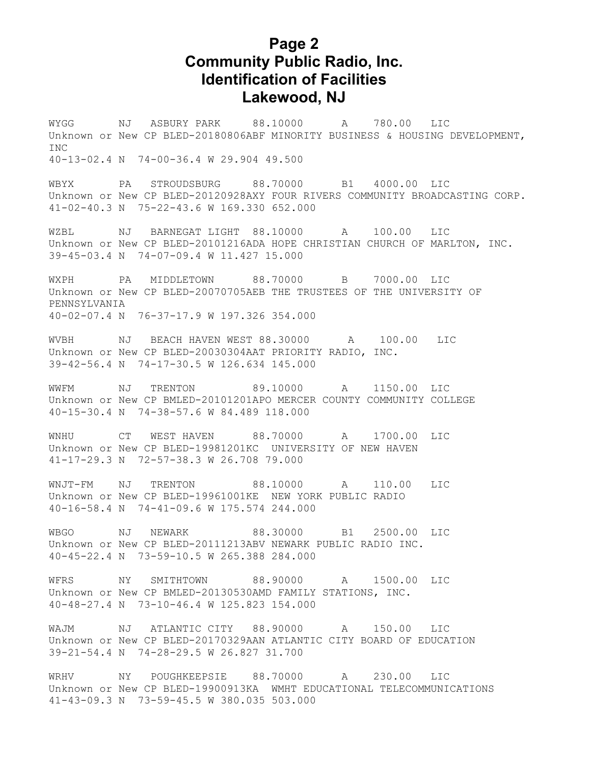# **Page 2 Community Public Radio, Inc. Identification of Facilities Lakewood, NJ**

WYGG NJ ASBURY PARK 88.10000 A 780.00 LIC Unknown or New CP BLED-20180806ABF MINORITY BUSINESS & HOUSING DEVELOPMENT, T<sub>NC</sub> 40-13-02.4 N 74-00-36.4 W 29.904 49.500

WBYX PA STROUDSBURG 88.70000 B1 4000.00 LIC Unknown or New CP BLED-20120928AXY FOUR RIVERS COMMUNITY BROADCASTING CORP. 41-02-40.3 N 75-22-43.6 W 169.330 652.000

WZBL NJ BARNEGAT LIGHT 88.10000 A 100.00 LIC Unknown or New CP BLED-20101216ADA HOPE CHRISTIAN CHURCH OF MARLTON, INC. 39-45-03.4 N 74-07-09.4 W 11.427 15.000

WXPH PA MIDDLETOWN 88.70000 B 7000.00 LIC Unknown or New CP BLED-20070705AEB THE TRUSTEES OF THE UNIVERSITY OF PENNSYLVANIA 40-02-07.4 N 76-37-17.9 W 197.326 354.000

WVBH NJ BEACH HAVEN WEST 88.30000 A 100.00 LIC Unknown or New CP BLED-20030304AAT PRIORITY RADIO, INC. 39-42-56.4 N 74-17-30.5 W 126.634 145.000

WWFM NJ TRENTON 89.10000 A 1150.00 LIC Unknown or New CP BMLED-20101201APO MERCER COUNTY COMMUNITY COLLEGE 40-15-30.4 N 74-38-57.6 W 84.489 118.000

WNHU CT WEST HAVEN 88.70000 A 1700.00 LIC Unknown or New CP BLED-19981201KC UNIVERSITY OF NEW HAVEN 41-17-29.3 N 72-57-38.3 W 26.708 79.000

WNJT-FM NJ TRENTON 88.10000 A 110.00 LIC Unknown or New CP BLED-19961001KE NEW YORK PUBLIC RADIO 40-16-58.4 N 74-41-09.6 W 175.574 244.000

WBGO NJ NEWARK 88.30000 B1 2500.00 LIC Unknown or New CP BLED-20111213ABV NEWARK PUBLIC RADIO INC. 40-45-22.4 N 73-59-10.5 W 265.388 284.000

WFRS NY SMITHTOWN 88.90000 A 1500.00 LIC Unknown or New CP BMLED-20130530AMD FAMILY STATIONS, INC. 40-48-27.4 N 73-10-46.4 W 125.823 154.000

WAJM NJ ATLANTIC CITY 88.90000 A 150.00 LIC Unknown or New CP BLED-20170329AAN ATLANTIC CITY BOARD OF EDUCATION 39-21-54.4 N 74-28-29.5 W 26.827 31.700

WRHV NY POUGHKEEPSIE 88.70000 A 230.00 LIC Unknown or New CP BLED-19900913KA WMHT EDUCATIONAL TELECOMMUNICATIONS 41-43-09.3 N 73-59-45.5 W 380.035 503.000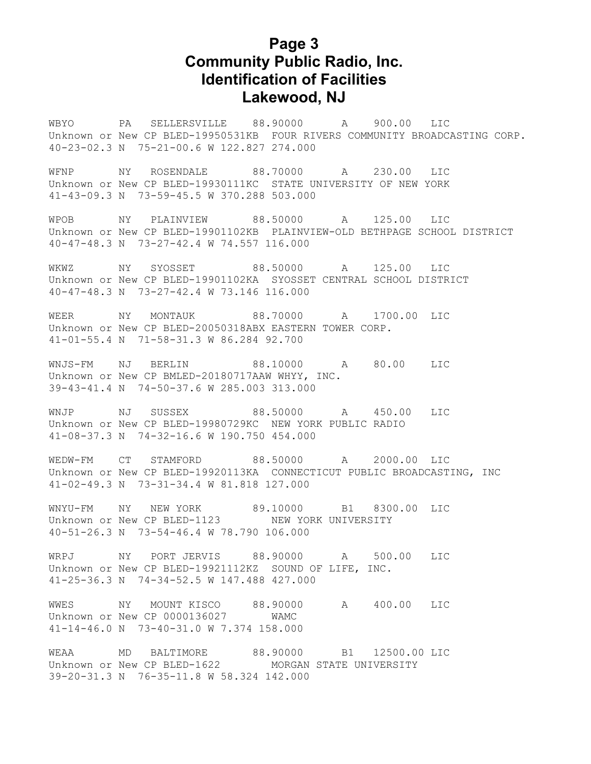# **Page 3 Community Public Radio, Inc. Identification of Facilities Lakewood, NJ**

WBYO PA SELLERSVILLE 88.90000 A 900.00 LIC Unknown or New CP BLED-19950531KB FOUR RIVERS COMMUNITY BROADCASTING CORP. 40-23-02.3 N 75-21-00.6 W 122.827 274.000

WFNP NY ROSENDALE 88.70000 A 230.00 LIC Unknown or New CP BLED-19930111KC STATE UNIVERSITY OF NEW YORK 41-43-09.3 N 73-59-45.5 W 370.288 503.000

WPOB NY PLAINVIEW 88.50000 A 125.00 LIC Unknown or New CP BLED-19901102KB PLAINVIEW-OLD BETHPAGE SCHOOL DISTRICT 40-47-48.3 N 73-27-42.4 W 74.557 116.000

WKWZ NY SYOSSET 88.50000 A 125.00 LIC Unknown or New CP BLED-19901102KA SYOSSET CENTRAL SCHOOL DISTRICT 40-47-48.3 N 73-27-42.4 W 73.146 116.000

WEER NY MONTAUK 88.70000 A 1700.00 LIC Unknown or New CP BLED-20050318ABX EASTERN TOWER CORP. 41-01-55.4 N 71-58-31.3 W 86.284 92.700

WNJS-FM NJ BERLIN 88.10000 A 80.00 LIC Unknown or New CP BMLED-20180717AAW WHYY, INC. 39-43-41.4 N 74-50-37.6 W 285.003 313.000

WNJP NJ SUSSEX 88.50000 A 450.00 LIC Unknown or New CP BLED-19980729KC NEW YORK PUBLIC RADIO 41-08-37.3 N 74-32-16.6 W 190.750 454.000

WEDW-FM CT STAMFORD 88.50000 A 2000.00 LIC Unknown or New CP BLED-19920113KA CONNECTICUT PUBLIC BROADCASTING, INC 41-02-49.3 N 73-31-34.4 W 81.818 127.000

WNYU-FM NY NEW YORK 89.10000 B1 8300.00 LIC Unknown or New CP BLED-1123 NEW YORK UNIVERSITY 40-51-26.3 N 73-54-46.4 W 78.790 106.000

WRPJ NY PORT JERVIS 88.90000 A 500.00 LIC Unknown or New CP BLED-19921112KZ SOUND OF LIFE, INC. 41-25-36.3 N 74-34-52.5 W 147.488 427.000

WWES NY MOUNT KISCO 88.90000 A 400.00 LIC Unknown or New CP 0000136027 WAMC 41-14-46.0 N 73-40-31.0 W 7.374 158.000

WEAA MD BALTIMORE 88.90000 B1 12500.00 LIC Unknown or New CP BLED-1622 MORGAN STATE UNIVERSITY 39-20-31.3 N 76-35-11.8 W 58.324 142.000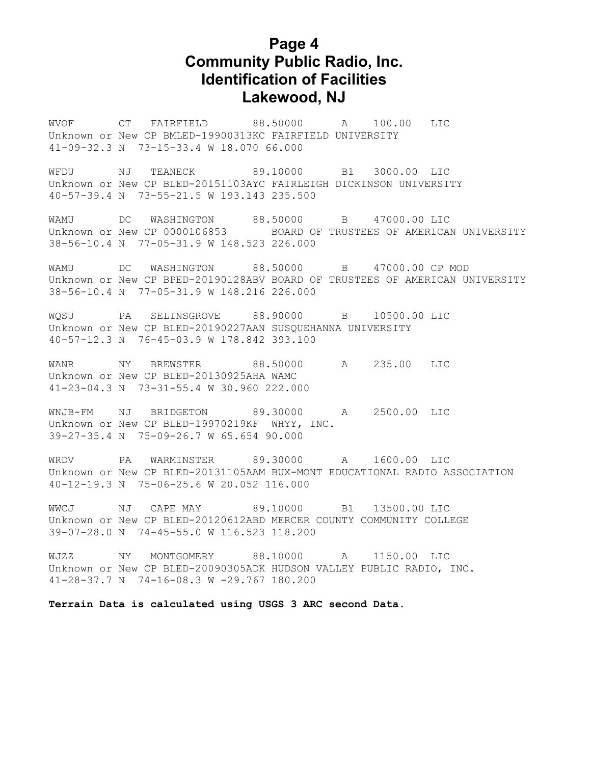# **Page 4 Community Public Radio, Inc. Identification of Facilities Lakewood, NJ**

WVOF CT FAIRFIELD 88.50000 A 100.00 LIC Unknown or New CP BMLED-19900313KC FAIRFIELD UNIVERSITY 41-09-32.3 N 73-15-33.4 W 18.070 66.000

WFDU NJ TEANECK 89.10000 B1 3000.00 LIC Unknown or New CP BLED-20151103AYC FAIRLEIGH DICKINSON UNIVERSITY 40-57-39.4 N 73-55-21.5 W 193.143 235.500

WAMU DC WASHINGTON 88.50000 B 47000.00 LIC Unknown or New CP 0000106853 BOARD OF TRUSTEES OF AMERICAN UNIVERSITY 38-56-10.4 N 77-05-31.9 W 148.523 226.000

WAMU DC WASHINGTON 88.50000 B 47000.00 CP MOD Unknown or New CP BPED-20190128ABV BOARD OF TRUSTEES OF AMERICAN UNIVERSITY 38-56-10.4 N 77-05-31.9 W 148.216 226.000

WQSU PA SELINSGROVE 88.90000 B 10500.00 LIC Unknown or New CP BLED-20190227AAN SUSQUEHANNA UNIVERSITY 40-57-12.3 N 76-45-03.9 W 178.842 393.100

WANR NY BREWSTER 88.50000 A 235.00 LIC Unknown or New CP BLED-20130925AHA WAMC 41-23-04.3 N 73-31-55.4 W 30.960 222.000

WNJB-FM NJ BRIDGETON 89.30000 A 2500.00 LIC Unknown or New CP BLED-19970219KF WHYY, INC. 39-27-35.4 N 75-09-26.7 W 65.654 90.000

WRDV PA WARMINSTER 89.30000 A 1600.00 LIC Unknown or New CP BLED-20131105AAM BUX-MONT EDUCATIONAL RADIO ASSOCIATION 40-12-19.3 N 75-06-25.6 W 20.052 116.000

WWCJ NJ CAPE MAY 89.10000 B1 13500.00 LIC Unknown or New CP BLED-20120612ABD MERCER COUNTY COMMUNITY COLLEGE 39-07-28.0 N 74-45-55.0 W 116.523 118.200

WJZZ NY MONTGOMERY 88.10000 A 1150.00 LIC Unknown or New CP BLED-20090305ADK HUDSON VALLEY PUBLIC RADIO, INC. 41-28-37.7 N 74-16-08.3 W -29.767 180.200

**Terrain Data is calculated using USGS 3 ARC second Data.**